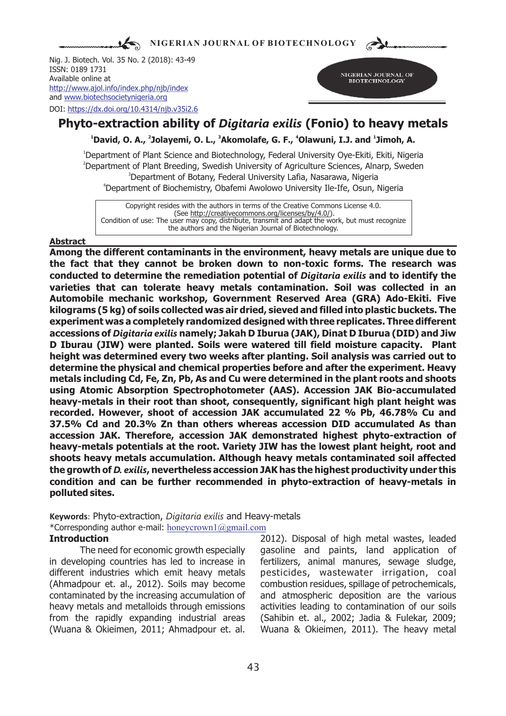**NIGERIAN JOURNAL OF BIOTECHNOLOGY**

Nig. J. Biotech. Vol. 35 No. 2 (2018): 43-49 ISSN: 0189 1731 Available online at and www.biotechsocietynigeria.org DOI: https://dx.doi.org/10.4314/njb.v35i2.6 http://www.ajol.info/index.php/njb/index



# **Phyto-extraction ability of** *Digitaria exilis* **(Fonio) to heavy metals**

<sup>1</sup> David, O. A., <sup>2</sup> Jolayemi, O. L., <sup>3</sup> Akomolafe, G. F., <sup>4</sup> Olawuni, I.J. and <sup>1</sup> Jimoh, A.

<sup>1</sup>Department of Plant Science and Biotechnology, Federal University Oye-Ekiti, Ekiti, Nigeria <sup>2</sup>Department of Plant Breeding, Swedish University of Agriculture Sciences, Alnarp, Sweden <sup>3</sup>Department of Botany, Federal University Lafia, Nasarawa, Nigeria <sup>4</sup>Department of Biochemistry, Obafemi Awolowo University Ile-Ife, Osun, Nigeria

Copyright resides with the authors in terms of the Creative Commons License 4.0. (See http://creativecommons.org/licenses/by/4.0/). Condition of use: The user may copy, distribute, transmit and adapt the work, but must recognize the authors and the Nigerian Journal of Biotechnology.

### **Abstract**

**Among the different contaminants in the environment, heavy metals are unique due to the fact that they cannot be broken down to non-toxic forms. The research was conducted to determine the remediation potential of** *Digitaria exilis* **and to identify the varieties that can tolerate heavy metals contamination. Soil was collected in an Automobile mechanic workshop, Government Reserved Area (GRA) Ado-Ekiti. Five kilograms (5 kg) of soils collected was air dried, sieved and filled into plastic buckets. The experiment was a completely randomized designed with three replicates. Three different accessions of** *Digitaria exilis* **namely; Jakah D Iburua (JAK), Dinat D Iburua (DID) and Jiw D Iburau (JIW) were planted. Soils were watered till field moisture capacity. Plant height was determined every two weeks after planting. Soil analysis was carried out to determine the physical and chemical properties before and after the experiment. Heavy metals including Cd, Fe, Zn, Pb, As and Cu were determined in the plant roots and shoots using Atomic Absorption Spectrophotometer (AAS). Accession JAK Bio-accumulated heavy-metals in their root than shoot, consequently, significant high plant height was recorded. However, shoot of accession JAK accumulated 22 % Pb, 46.78% Cu and 37.5% Cd and 20.3% Zn than others whereas accession DID accumulated As than accession JAK. Therefore, accession JAK demonstrated highest phyto-extraction of heavy-metals potentials at the root. Variety JIW has the lowest plant height, root and shoots heavy metals accumulation. Although heavy metals contaminated soil affected the growth of** *D. exilis***, nevertheless accession JAK has the highest productivity under this condition and can be further recommended in phyto-extraction of heavy-metals in polluted sites.**

**Keywords**: Phyto-extraction, *Digitaria exilis* and Heavy-metals \*Corresponding author e-mail: honeycrown1@gmail.com

in developing countries has led to increase in fertilizers, animal manures, sewage sludge, different industries which emit heavy metals pesticides, wastewater irrigation, coal (Ahmadpour et. al., 2012). Soils may become combustion residues, spillage of petrochemicals, contaminated by the increasing accumulation of and atmospheric deposition are the various heavy metals and metalloids through emissions activities leading to contamination of our soils from the rapidly expanding industrial areas (Sahibin et. al., 2002; Jadia & Fulekar, 2009; (Wuana & Okieimen, 2011; Ahmadpour et. al. Wuana & Okieimen, 2011). The heavy metal

**Introduction** 2012). Disposal of high metal wastes, leaded The need for economic growth especially gasoline and paints, land application of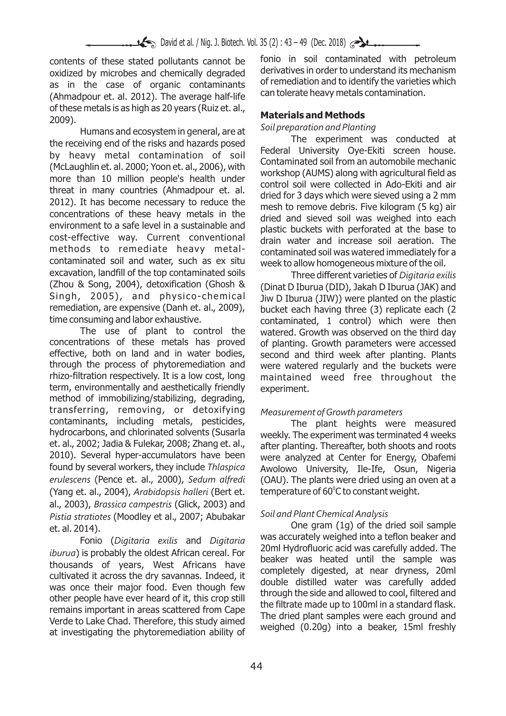fonio in soil contaminated with petroleum<br>
oxidized by microbes and chemically degraded derivatives in order to understand its mechanism oxidized by microbes and chemically degraded derivatives in order to understand its mechanism<br>as in the case, of organic contaminants of remediation and to identify the varieties which as in the case of organic contaminants of remediation and to identify the varieties<br>(Abmadpour et al. 2012). The average half-life can tolerate heavy metals contamination. (Ahmadpour et. al. 2012). The average half-life. of these metals is as high as 20 years (Ruiz et. al., **Materials and Methods**<br>2009).<br>Humans and oscovistom in conoral, are at Soil preparation and Plantina

Humans and ecosystem in general, are at solupreparation and Planting<br>Christian and of the ricks and bazards pessed and The experiment was conducted at the receiving end of the risks and hazards posed<br>the receiving end of the risks and hazards posed<br>Federal University Ove-Ekiti screen house. by heavy metal contamination of soil regular principles overestic screen house.<br>Contaminated soil from an automobile mechanic (McLaughlin et. al. 2000; Yoon et. al., 2006), with contaminated soil from an automobile mechanic<br>workshop (AUMS) along with agricultural field as<br>workshop (AUMS) along with agricultural field as threat in many countries (Ahmadpour et. al.<br>2012). It has become necessary to reduce the contentrations of these heavy metals in the detection of the concentrations of these heavy metals in the detection of the detection o concentrations of these heavy metals in the dried and sieved soil was weighed into each<br>environment to a safe level in a sustainable and shartic buckets with performed at the base to environment to a safe level in a sustainable and plastic buckets with perforated at the base to cost-effective way. Current conventional drain water and increase soil aeration. The cost-effective way. Current conventional drain water and increase soil aeration. The contaminated soil and water, such as ex situ week to allow homogeneous mixture of the oil. excavation, landfill of the top contaminated soils Three different varieties of *Digitaria exilis* (Zhou & Song, 2004), detoxification (Ghosh & ) (Dinat D Iburua (DID), Jakah D Iburua (JAK) and<br>Singh, 2005), and physico-chemical liw D Iburua (JIW)) were planted on the plastic Singh, 2005), and physico-chemical Jiw D Iburua (JIW)) were planted on the plastic<br>Fremediation, are expensive (Danh et. al., 2009), bucket each having three (3) replicate each (2) remediation, are expensive (Danh et. al., 2009), bucket each having three (3) replicate each (2<br>time consuming and labor exhaustive.<br>contaminated. 1 control) which were then

The use of plant to control the watered. Growth was observed on the third day<br>concentrations of these metals has proved of planting. Growth parameters were accessed concentrations of these metals has proved of planting. Growth parameters were accessed<br>effective, both on land and in water bodies, second and third week after planting. Plants effective, both on land and in water bodies, second and third week after planting. Plants<br>through the process of phytoremediation and supplement and the buckets were through the process of phytoremediation and were watered regularly and the buckets were<br>thizo-filtration respectively. It is a low cost, long maintained weed free throughout the term, environmentally and aesthetically friendly experiment. method of immobilizing/stabilizing, degrading, transferring, removing, or detoxifying *Measurement of Growth parameters* contaminants, including metals, pesticides,<br>hydrocarbons, and chlorinated solvents (Susarla weekly The experiment was terminated 4 weeks hydrocarbons, and chlorinated solvents (Susarla yare weekly. The experiment was terminated 4 weeks<br>1. et. al., 2002; Jadia & Fulekar, 2008; Zhang et. al., yarter planting. Thereafter, both shoots and roots et. al., 2002; Jadia & Fulekar, 2008; Zhang et. al., after planting. Thereafter, both shoots and roots<br>2010). Several hyper-accumulators have been were analyzed at Center for Energy, Obafemi 2010). Several hyper-accumulators have been were analyzed at Center for Energy, Obafemi<br>found by several workers, they include *Thlaspica* Awolowo, University, Tle-Tfe, Osun, Nigeria found by several workers, they include *Thlaspica* Awolowo University, Ile-Ife, Osun, Nigeria (Yang et. al., 2004), *Arabidopsis halleri* (Bert et. al., 2003), *Brassica campestris* (Glick, 2003) and *Soil and Plant Chemical Analysis Pistia stratiotes* (Moodley et al., 2007; Abubakar One gram (1g) of the dried soil sample et. al. 2014).

iburua) is probably the oldest African cereal. For<br>thousands of years, West Africans have beaker was heated until the sample was<br>completely digested, at near dryness, 20ml cultivated it across the dry savannas. Indeed, it<br>was once their major food. Even though few double distilled water was carefully added<br>was once their major food. Even though few details and the side of the same that the s was once their major food. Even though few<br>other people have ever heard of it, this crop still<br>remains important in areas scattered from Cape<br>Verde to Lake Chad. Therefore, this study aimed<br>at investigating the phytoremedi

contaminated soil was watered immediately for a

nsuming and labor exhaustive.<br>The use of plant to control the watered Growth was observed on the third day maintained weed free throughout the

*(OAU). The plants were dried using an oven at a* temperature of 60°C to constant weight.

was accurately weighed into a teflon beaker and Fonio (*Digitaria exilis* and *Digitaria*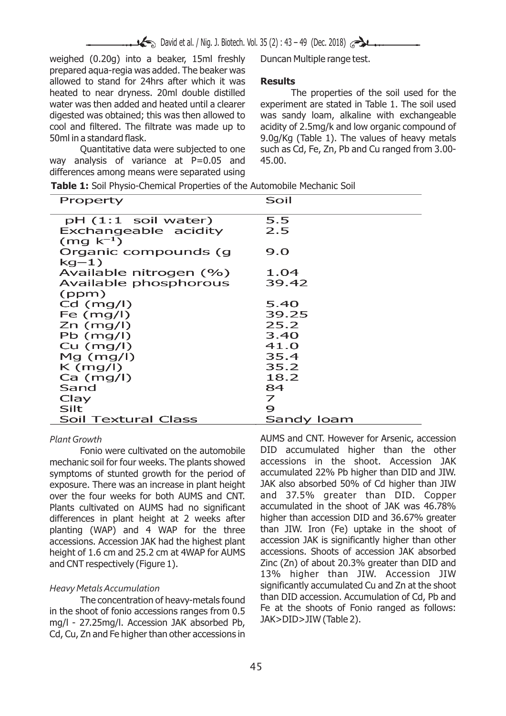David et al. / Nig. J. Biotech. Vol. 35 (2) : 43 – 49 (Dec. 2018)

weighed (0.20g) into a beaker, 15ml freshly Duncan Multiple range test. prepared aqua-regia was added. The beaker was allowed to stand for 24hrs after which it was **Results** heated to near dryness. 20ml double distilled The properties of the soil used for the water was then added and heated until a clearer experiment are stated in Table 1. The soil used digested was obtained; this was then allowed to was sandy loam, alkaline with exchangeable cool and filtered. The filtrate was made up to acidity of 2.5mg/k and low organic compound of 50ml in a standard flask. 9.0g/Kg (Table 1). The values of heavy metals

way analysis of variance at  $P=0.05$  and 45.00. differences among means were separated using

Quantitative data were subjected to one such as Cd, Fe, Zn, Pb and Cu ranged from 3.00-

| Property               | Soil                     |
|------------------------|--------------------------|
| pH (1:1 soil water)    | 5.5                      |
| Exchangeable acidity   | 2.5                      |
| $(mq k^{-1})$          |                          |
| Organic compounds (g   | 9.0                      |
| $kg-1)$                |                          |
| Available nitrogen (%) | 1.04                     |
| Available phosphorous  | 39.42                    |
| (ppm)                  |                          |
| $Cd$ (mg/l)            | 5.40                     |
| Fe $(mg/l)$            | 39.25                    |
| $Zn$ (mg/l)            | 25.2                     |
| $Pb$ (mg/l)            | 3.40                     |
| $Cu$ (mg/l)            | 41.O                     |
| $Mg$ (mg/l)            | 35.4                     |
| $K \ (mg/l)$           | 35.2                     |
| $Ca \ (mg/l)$          | 18.2                     |
| Sand                   | 84                       |
| Clay                   | $\overline{\phantom{a}}$ |
| Silt                   | 9                        |
| Soil Textural Class    | Sandy Ioam               |

mechanic soil for four weeks. The plants showed accessions in the shoot. Accession JAK<br>symptoms of stunted growth for the period of accumulated 22% Pb higher than DID and JIW. symptoms of stunted growth for the period of accumulated 22% Pb higher than DID and JIW.<br>exposure. There was an increase in plant height JAK also absorbed 50% of Cd higher than JIW exposure. There was an increase in plant height JAK also absorbed 50% of Cd higher than JIW<br>over the four weeks for both AUMS and CNT. and 37.5% greater than DID. Copper over the four weeks for both AUMS and CNT. Plants cultivated on AUMS had no significant accumulated in the shoot of JAK was 46.78% Plants of Plants helight at 2 weeks after higher than accession DID and 36.67% greater differences in plant height at 2 weeks after higher than accession DID and 36.67% greater planting (WAP) and 4 WAP for the three than JIW. Iron (Fe) uptake in the shoot of planting (WAP) and 4 WAP for the three than JIW. Iron (Fe) uptake in the shoot of accessions. Accession JAK had the highest plant accession JAK is significantly higher than other accessions. Accession JAK had the highest plant accession JAK is significantly higher than other<br>height of 1.6 cm and 25.2 cm at 4WAP for AUMS accessions. Shoots of accession JAK absorbed height of 1.6 cm and 25.2 cm at 4WAP for AUMS and CNT respectively (Figure 1). Zinc (Zn) of about 20.3% greater than DID and

in the shoot of fonio accessions ranges from 0.5 Fe at the shoots of Form  $\frac{m}{\text{max}}$  mall 27.25 mall Accession JAK absorbed Bb JAK>DID>JIW (Table 2). mg/l - 27.25mg/l. Accession JAK absorbed Pb, JAK>DID>JIW (Table 2). Cd, Cu, Zn and Fe higher than other accessions in

*Plant Growth* AUMS and CNT. However for Arsenic, accession Fonio were cultivated on the automobile DID accumulated higher than the other hic soil for four weeks. The plants showed accessions in the shoot. Accession JAK 13% higher than JIW. Accession JIW *Heavy Metals Accumulation* **Accumulation Significantly accumulated Cu and Zn at the shoot** The concentration of heavy-metals found<br>than DID accession. Accumulation of Cd, Pb and<br>heat of fonio accessions ranges from 0.5 Fe at the shoots of Fonio ranged as follows: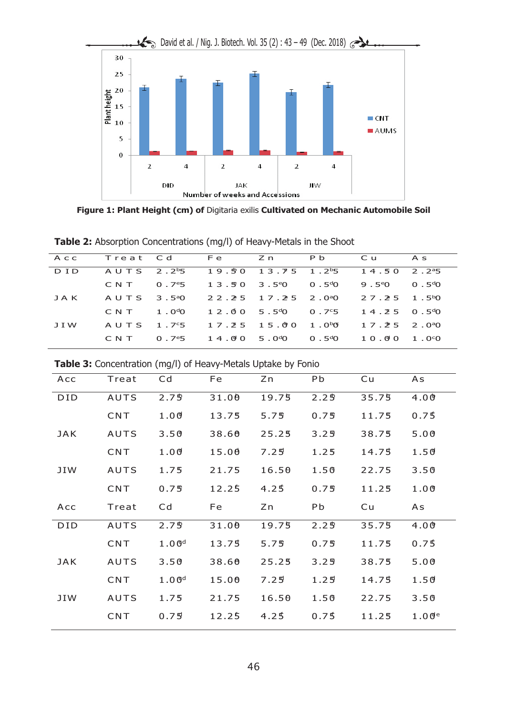

**Figure 1: Plant Height (cm) of** Digitaria exilis **Cultivated on Mechanic Automobile Soil**

| <b>Table 2:</b> Absorption Concentrations (mg/l) of Heavy-Metals in the Shoot |  |
|-------------------------------------------------------------------------------|--|
|-------------------------------------------------------------------------------|--|

| ACC   | Treat Cd Fe Zn |                                                                                             |  | P b                                   | Cu As                              |  |
|-------|----------------|---------------------------------------------------------------------------------------------|--|---------------------------------------|------------------------------------|--|
| D I D |                | AUTS 2.2 <sup>b</sup> 5 19.50 13.75 1.2 <sup>b</sup> 5                                      |  |                                       | $1, 4, 5, 0, 2, 2^{a}5$            |  |
|       | CNT            | $0.7^{\circ}5$                                                                              |  | $13.50$ $3.5^{\circ}0$ $0.5^{\circ}0$ | $9.5^{\circ}0 \qquad 0.5^{\circ}0$ |  |
| JAK   |                | AUTS 3.5 <sup>a</sup> 0 22.25 17.25 2.0 <sup>a</sup> 0                                      |  |                                       | $27.25 \quad 1.5^{b}0$             |  |
|       |                | $\text{C} \text{N} \text{T}$ 1.0 <sup>d</sup> 0 12.00 5.5 <sup>d</sup> 0 0.7 <sup>c</sup> 5 |  |                                       | $14.25$ 0.5 <sup>d</sup> 0         |  |
| J I W |                | $A \cup T S$ 1.7°5 1.7.2° 5 1.5.00 1.0 <sup>b</sup> 0                                       |  |                                       | $17.25$ $2.090$                    |  |
|       | C N T          | $0.7^{\circ}5$ 1.4.090 5.0 <sup>d</sup> 0 0.5 <sup>d</sup> 0                                |  |                                       | 10.0011.00                         |  |
|       |                |                                                                                             |  |                                       |                                    |  |

| <b>Table 3:</b> Concentration (mg/l) of Heavy-Metals Uptake by Fonio |  |  |  |
|----------------------------------------------------------------------|--|--|--|
|----------------------------------------------------------------------|--|--|--|

| Acc        | Treat       | Cd                | Fe    | Zn    | <b>Pb</b> | Cu    | As    |
|------------|-------------|-------------------|-------|-------|-----------|-------|-------|
| <b>DID</b> | <b>AUTS</b> | 2.7 <sup>5</sup>  | 31.00 | 19.75 | 2.29      | 35.75 | 4.00  |
|            | CNT         | 1.00              | 13.75 | 5.75  | 0.75      | 11.75 | 0.75  |
| <b>JAK</b> | <b>AUTS</b> | 3.50              | 38.60 | 25.25 | 3.25      | 38.75 | 5.00  |
|            | CNT         | 1.00              | 15.00 | 7.25  | 1.25      | 14.75 | 1.50  |
| JIW        | <b>AUTS</b> | 1.75              | 21.75 | 16.50 | 1.50      | 22.75 | 3.50  |
|            | CNT         | 0.75              | 12.25 | 4.25  | 0.75      | 11.25 | 1.00  |
|            |             |                   |       |       |           |       |       |
| Acc        | Treat       | Cd                | Fe    | Zn    | Pb        | Cu    | As    |
| <b>DID</b> | AUTS        | 2.7 <sup>5</sup>  | 31.00 | 19.75 | 2.29      | 35.75 | 4.00  |
|            | CNT         | 1.00 <sup>d</sup> | 13.75 | 5.75  | 0.75      | 11.75 | 0.75  |
| <b>JAK</b> | <b>AUTS</b> | 3.50              | 38.60 | 25.25 | 3.25      | 38.75 | 5.00  |
|            | <b>CNT</b>  | 1.00 <sup>d</sup> | 15.00 | 7.25  | 1.25      | 14.75 | 1.50  |
| JIW        | <b>AUTS</b> | 1.75              | 21.75 | 16.50 | 1.50      | 22.75 | 3.50  |
|            | <b>CNT</b>  | 0.75              | 12.25 | 4.25  | 0.75      | 11.25 | 1.00e |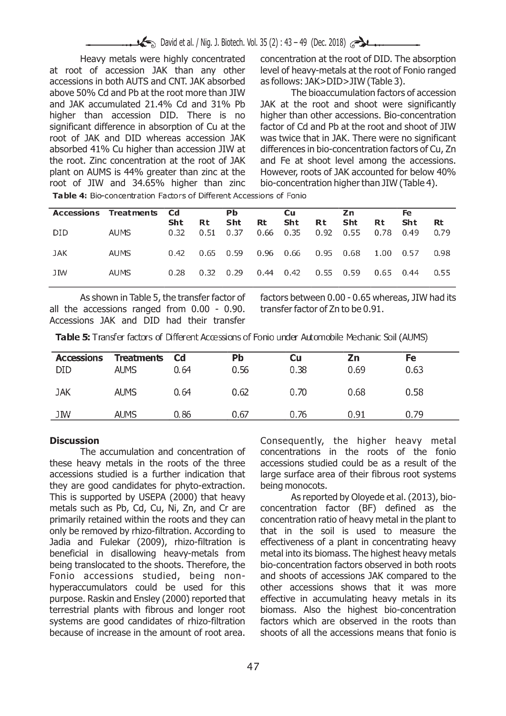at root of accession JAK than any other level of heavy-metals at the root of Fonio ranged accessions in both AUTS and CNT. JAK absorbed as follows: JAK>DID>JIW (Table 3). above 50% Cd and Pb at the root more than JIW The bioaccumulation factors of accession and JAK accumulated 21.4% Cd and 31% Pb JAK at the root and shoot were significantly higher than accession DID. There is no higher than other accessions. Bio-concentration significant difference in absorption of Cu at the factor of Cd and Pb at the root and shoot of JIW root of JAK and DID whereas accession JAK was twice that in JAK. There were no significant absorbed 41% Cu higher than accession JIW at differences in bio-concentration factors of Cu, Zn the root. Zinc concentration at the root of JAK and Fe at shoot level among the accessions. plant on AUMS is 44% greater than zinc at the However, roots of JAK accounted for below 40% root of JIW and 34.65% higher than zinc bio-concentration higher than JIW (Table 4). root of JIW and  $34.65%$  higher than zinc

Heavy metals were highly concentrated concentration at the root of DID. The absorption

Table 4: Bio-concentration Factors of Different Accessions of Fonio

|      | Accessions Treatments Cd |             |                   | Рb.                |                   | <b>Cu</b> |             | Zn                 |            | Fe          |            |
|------|--------------------------|-------------|-------------------|--------------------|-------------------|-----------|-------------|--------------------|------------|-------------|------------|
| DID. | AUMS                     | Sht<br>0.32 | <b>Rt</b><br>0.51 | <b>Sht</b><br>0.37 | Rt<br>$0.66$ 0.35 | Sht       | Rt<br>0.92  | <b>Sht</b><br>0.55 | Rt<br>0.78 | Sht<br>0.49 | Rt<br>0.79 |
| JAK  | AUMS                     | 0.42        | $0.65$ 0.59       |                    |                   | 0.96 0.66 | 0.95 0.68   |                    | 1.00       | 0.57        | 0.98       |
| JIW  | AUMS                     | 0.28        | 0.32              | 0.29               | $0.44 \quad 0.42$ |           | $0.55$ 0.59 |                    | 0.65       | 0.44        | 0.55       |

all the accessions ranged from 0.00 - 0.90. transfer factor of Zn to be 0.91. Accessions JAK and DID had their transfer

As shown in Table 5, the transfer factor of factors between 0.00 - 0.65 whereas, JIW had its

**Table 5:** Transfer factors of Different Accessions of Fonio under Automobile Mechanic Soil (AUMS)

| <b>Accessions</b><br><b>DID</b> | <b>Treatments</b><br><b>AUMS</b> | - Cd<br>0.64 | Pb<br>0.56 | Cu<br>0.38 | Ζn<br>0.69 | Fe<br>0.63 |
|---------------------------------|----------------------------------|--------------|------------|------------|------------|------------|
| JAK                             | <b>AUMS</b>                      | 0.64         | 0.62       | 0.70       | 0.68       | 0.58       |
| JIW                             | <b>AUMS</b>                      | 0.86         | 0.67       | 0.76       | 0.91       | 0.79       |

these heavy metals in the roots of the three accessions studied could be as a result of the accessions studied is a further indication that large surface area of their fibrous root systems they are good candidates for phyto-extraction. being monocots. This is supported by USEPA (2000) that heavy As reported by Oloyede et al. (2013), biometals such as Pb, Cd, Cu, Ni, Zn, and Cr are concentration factor (BF) defined as the primarily retained within the roots and they can concentration ratio of heavy metal in the plant to only be removed by rhizo-filtration. According to that in the soil is used to measure the Jadia and Fulekar (2009), rhizo-filtration is effectiveness of a plant in concentrating heavy beneficial in disallowing heavy-metals from metal into its biomass. The highest heavy metals being translocated to the shoots. Therefore, the bio-concentration factors observed in both roots Fonio accessions studied, being non- and shoots of accessions JAK compared to the hyperaccumulators could be used for this other accessions shows that it was more purpose. Raskin and Ensley (2000) reported that effective in accumulating heavy metals in its terrestrial plants with fibrous and longer root biomass. Also the highest bio-concentration systems are good candidates of rhizo-filtration factors which are observed in the roots than because of increase in the amount of root area. shoots of all the accessions means that fonio is

**Discussion Discussion Consequently, the higher heavy metal** The accumulation and concentration of concentrations in the roots of the fonio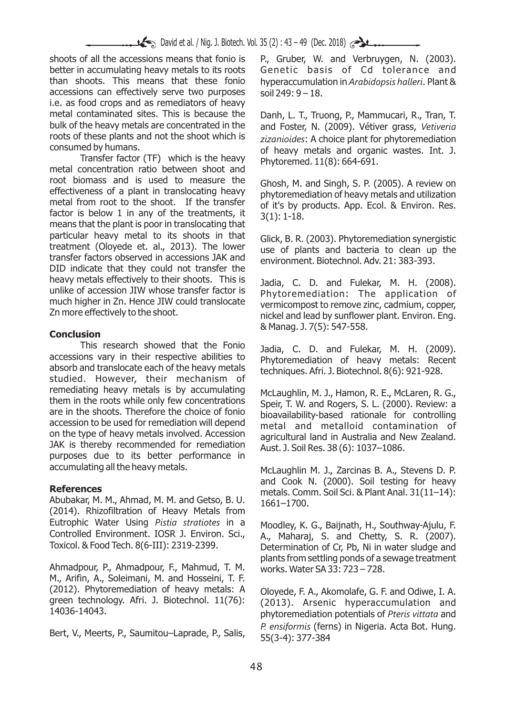shoots of all the accessions means that fonio is P., Gruber, W. and Verbruygen, N. (2003). better in accumulating heavy metals to its roots Genetic basis of Cd tolerance and than shoots. This means that these fonio hyperaccumulation in *Arabidopsis halleri*. Plant & accessions can effectively serve two purposes soil 249:  $9 - 18$ . i.e. as food crops and as remediators of heavy metal contaminated sites. This is because the Danh, L. T., Truong, P., Mammucari, R., Tran, T.<br>bulk of the heavy metals are concentrated in the and Foster N. (2009). Vétiver grass, Vetiveria bulk of the heavy metals are concentrated in the and Foster, N. (2009). Vétiver grass, *Vetiveria*<br>
roots of these plants and not the shoot which is *aizonicides:* A choice plant for phytoremediation roots of these plants and not the shoot which is *zizanioides*: A choice plant for phytoremediation

Transfer factor (TF) which is the heavy Phytoremed. 11(8): 664-691. metal concentration ratio between shoot and root biomass and is used to measure the Ghosh, M. and Singh, S. P. (2005). A review on effectiveness of a plant in translocating heavy potential production of heavy motals and utilization. effectiveness of a plant in translocating heavy phytoremediation of heavy metals and utilization<br>metal from root to the shoot. If the transfer and it is by products App. Ecol. 8: Environ Rec. factor is below 1 in any of the treatments, it  $3(1): 1-18$ . means that the plant is poor in translocating that particular heavy metal to its shoots in that Glick, B. R. (2003). Phytoremediation synergistic<br>treatment (Oloyede et. al., 2013). The lower treatment (Oloyede et. al., 2013). The lower use of plants and bacteria to clean up the transfer factors observed in accessions JAK and approximant Biotechnol Adv 21: 282.202 DID indicate that they could not transfer the heavy metals effectively to their shoots. This is Jadia, C. D. and Fulekar, M. H. (2008).<br>unlike of accession JIW whose transfer factor is phytoremediation: The application of unlike of accession JIW whose transfer factor is phytoremediation: The application of much higher in Zn. Hence JIW could translocate vermicomport to remove zinc cadmium connor much higher in Zn. Hence JIW could translocate vermicompost to remove zinc, cadmium, copper,<br>Zn more effectively to the shoot.

## **Conclusion**

This research showed that the Fonio Jadia, C. D. and Fulekar, M. H. (2009).<br>accessions vary in their respective abilities to phytoremediation of heavy metals: Pecept accessions vary in their respective abilities to phytoremediation of heavy metals: Recent<br>absorb and translocate each of the heavy metals trachniques Afri 1 Biotechnol 8(6): 021-028 studied. However, their mechanism of remediating heavy metals is by accumulating McLaughlin, M. J., Hamon, R. E., McLaren, R. G., them in the roots while only few concentrations  $\sum_{n=1}^{\infty}$  T. W. and Pegers S. L. (2000), Beview: a them in the roots while only few concentrations Speir, T. W. and Rogers, S. L. (2000). Review: a<br>are in the shoots. Therefore the choice of fonio proposilability-based, rationale, for controlling are in the shoots. Therefore the choice of fonio bioavailability-based rationale for controlling<br>accession to be used for remediation will depend motal and motalloid contamination of accession to be used for remediation will depend metal and metalloid contamination of on the type of heavy metals involved. Accession arrival and hand in Australia and Now Zoaland JAK is thereby recommended for remediation Aust. J. Soil Res. 38 (6): 1037–1086. purposes due to its better performance in accumulating all the heavy metals. McLaughlin M. J., Zarcinas B. A., Stevens D. P.

Abubakar, M. M., Ahmad, M. M. and Getso, B. U. 1661–1700. (2014). Rhizofiltration of Heavy Metals from Eutrophic Water Using *Pistia stratiotes* in a Moodley, K. G., Baijnath, H., Southway-Ajulu, F. Controlled Environment. IOSR J. Environ. Sci., A., Maharaj, S. and Chetty, S. R. (2007).<br>Toxicol. & Food Tech. 8(6-III): 2319-2399. Determination of Cr. Ph. Ni in water sludge and

Ahmadpour, P., Ahmadpour, F., Mahmud, T. M. works. Water SA  $33: 723 - 728$ . M., Arifin, A., Soleimani, M. and Hosseini, T. F. (2012). Phytoremediation of heavy metals: A Oloyede, F. A., Akomolafe, G. F. and Odiwe, I. A. green technology. Afri. J. Biotechnol.  $11(76)$ :  $(2013)$  Arsenic byperaccumulation and green technology. Afri. J. Biotechnol. 11(76): (2013). Arsenic hyperaccumulation and<br>14036-14043. and phytoromodiation potentials of *Pteris vittata* and

Bert, V., Meerts, P., Saumitou–Laprade, P., Salis,  $\frac{1}{55(3-4)}$ : 377-384

of heavy metals and organic wastes. Int. J.

of it's by products. App. Ecol. & Environ. Res.

environment. Biotechnol. Adv. 21: 383-393.

nickel and lead by sunflower plant. Environ. Eng. & Manag. J. 7(5): 547-558.

techniques. Afri. J. Biotechnol. 8(6): 921-928.

agricultural land in Australia and New Zealand.

and Cook N. (2000). Soil testing for heavy **References** and the metals. Comm. Soil Sci. & Plant Anal. 31(11–14):

> Determination of Cr, Pb, Ni in water sludge and plants from settling ponds of a sewage treatment

> 14036-14043. phytoremediation potentials of *Pteris vittata* and *P. ensiformis* (ferns) in Nigeria. Acta Bot. Hung.